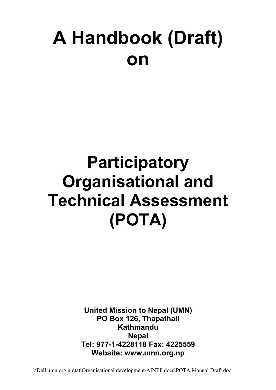# **A Handbook (Draft) on**

## **Participatory Organisational and Technical Assessment (POTA)**

**United Mission to Nepal (UMN) PO Box 126, Thapathali Kathmandu Nepal Tel: 977-1-4228118 Fax: 4225559 Website: www.umn.org.np**

\\Dell.umn.org.np\tat\Organisational development\AINTF docs\POTA Manual Draft.doc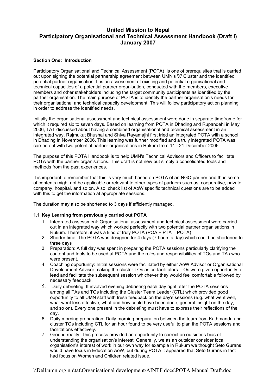## **United Mission to Nepal Participatory Organisational and Technical Assessment Handbook (Draft I) January 2007**

#### **Section One: Introduction**

Participatory Organisational and Technical Assessment (POTA) is one of prerequisites that is carried out upon signing the potential partnership agreement between UMN's 'X' Cluster and the identified potential partner organisation. It is an assessment of existing and potential organisational and technical capacities of a potential partner organisation, conducted with the members, executive members and other stakeholders including the target community participants as identified by the partner organisation. The main purpose of POTA is to identify the partner organisation's needs for their organisational and technical capacity development. This will follow participatory action planning in order to address the identified needs.

Initially the organisational assessment and technical assessment were done in separate timeframe for which it required six to seven days. Based on learning from POTA in Dhading and Rupandehi in May 2006, TAT discussed about having a combined organisational and technical assessment in an integrated way. Rajmukut Bhushal and Shiva Rayamajhi first tried an integrated POTA with a school in Dhading in November 2006. This learning was further modified and a truly integrated POTA was carried out with two potential partner organisations in Rukum from 14 - 21 December 2006.

The purpose of this POTA Handbook is to help UMN's Technical Advisors and Officers to facilitate POTA with the partner organisations. This draft is not new but simply a consolidated tools and methods from the past experiences.

It is important to remember that this is very much based on POTA of an NGO partner and thus some of contents might not be applicable or relevant to other types of partners such as, cooperative, private company, hospital, and so on. Also, check list of AoW specific technical questions are to be added with this to get the information at appropriate sessions.

The duration may also be shortened to 3 days if efficiently managed.

#### **1.1 Key Learning from previously carried out POTA**

- 1. Integrated assessment: Organisational assessment and technical assessment were carried out in an integrated way which worked perfectly with two potential partner organisations in Rukum. Therefore, it was a kind of truly POTA (POA + PTA = POTA)
- 2. Shorter time: The POTA was designed for 4 days (7 hours a day) which could be shortened to three days
- 3. Preparation: A full day was spent in preparing the POTA sessions particularly clarifying the content and tools to be used at POTA and the roles and responsibilities of TOs and TAs who were present.
- 4. Coaching opportunity: Initial sessions were facilitated by either AoW Advisor or Organisational Development Advisor making the cluster TOs as co-facilitators. TOs were given opportunity to lead and facilitate the subsequent session whichever they would feel comfortable followed by necessary feedback.
- 5. Daily debriefing: It involved evening debriefing each day right after the POTA sessions among all TAs and TOs including the Cluster Team Leader (CTL) which provided good opportunity to all UMN staff with fresh feedback on the day's sessions (e.g. what went well, what went less effective, what and how could have been done, general insight on the day, and so on). Every one present in the debriefing must have to express their reflections of the day.
- 6. Daily morning preparation: Daily morning preparation between the team from Kathmandu and cluster TOs including CTL for an hour found to be very useful to plan the POTA sessions and facilitations effectively.
- 7. Ground reality: This process provided an opportunity to correct an outsider's bias of understanding the organisation's interest. Generally, we as an outsider consider local organisation's interest of work in our own way for example in Rukum we thought Seto Gurans would have focus in Education AoW, but during POTA it appeared that Seto Gurans in fact had focus on Women and Children related issue.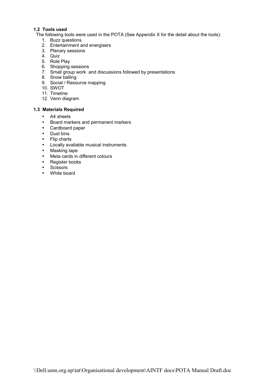#### **1.2 Tools used**

The following tools were used in the POTA (See Appendix X for the detail about the tools):

- 1. Buzz questions
- 2. Entertainment and energisers
- 3. Plenary sessions
- 4. Quiz
- 5. Role Play
- 6. Shopping sessions
- 7. Small group work and discussions followed by presentations
- 8. Snow balling
- 9. Social / Resource mapping
- 10. SWOT
- 11. Timeline
- 12. Venn diagram

#### **1.3 Materials Required**

- A4 sheets
- Board markers and permanent markers
- Cardboard paper
- Dust bins
- Flip charts
- Locally available musical instruments
- Masking tape
- Meta cards in different colours
- Register books
- Scissors
- White board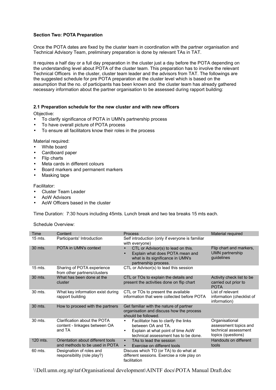#### **Section Two: POTA Preparation**

Once the POTA dates are fixed by the cluster team in coordination with the partner organisation and Technical Advisory Team, preliminary preparation is done by relevant TAs in TAT.

It requires a half day or a full day preparation in the cluster just a day before the POTA depending on the understanding level about POTA of the cluster team. This preparation has to involve the relevant Technical Officers in the cluster, cluster team leader and the advisors from TAT. The followings are the suggested schedule for pre POTA preparation at the cluster level which is based on the assumption that the no. of participants has been known and the cluster team has already gathered necessary information about the partner organisation to be assessed during rapport building:

#### **2.1 Preparation schedule for the new cluster and with new officers**

Objective:

- To clarify significance of POTA in UMN's partnership process
- To have overall picture of POTA process
- To ensure all facilitators know their roles in the process

Material required:

- White board
- Cardboard paper
- Flip charts
- Meta cards in different colours
- Board markers and permanent markers
- Masking tape

Facilitator:

- Cluster Team Leader
- AoW Advisors
- AoW Officers based in the cluster

Time Duration: 7:30 hours including 45mts. Lunch break and two tea breaks 15 mts each.

Schedule Overview:

| Time      | Content                                                                 | <b>Process</b>                                                                                                                                       | Material required                                                                     |
|-----------|-------------------------------------------------------------------------|------------------------------------------------------------------------------------------------------------------------------------------------------|---------------------------------------------------------------------------------------|
| $15$ mts. | Participants' Introduction                                              | Self introduction (only if everyone is familiar<br>with everyone)                                                                                    |                                                                                       |
| 30 mts.   | POTA in UMN's context                                                   | CTL or Advisor(s) to lead on this.<br>Explain what does POTA mean and<br>what is its significance in UMN's<br>partnership process.                   | Flip chart and markers,<br><b>UMN partnership</b><br>guidelines                       |
| $15$ mts. | Sharing of POTA experience<br>from other partners/clusters              | CTL or Advisor(s) to lead this session                                                                                                               |                                                                                       |
| 30 mts.   | What has been done at the<br>cluster                                    | CTL or TOs to explain the details and<br>present the activities done on flip chart                                                                   | Activity check list to be<br>carried out prior to<br><b>POTA</b>                      |
| 30 mts.   | What key information exist during<br>rapport building                   | CTL or TOs to present the available<br>information that were collected before POTA                                                                   | List of relevant<br>information (checklist of<br>information)                         |
| 30 mts.   | How to proceed with the partners                                        | Get familiar with the nature of partner<br>organisation and discuss how the process<br>should be followed.                                           |                                                                                       |
| 30 mts.   | Clarification about the POTA<br>content - linkages between OA<br>and TA | Facilitator has to clarify the links<br>between OA and TA.<br>Explain at what point of time AoW<br>$\bullet$<br>technical assessment has to be done. | Organisational<br>assessment topics and<br>technical assessment<br>topics (questions) |
| 120 mts.  | Orientation about different tools<br>and methods to be used in POTA     | TAs to lead the session<br>$\bullet$<br>Exercise on different tools<br>$\bullet$                                                                     | Handouts on different<br>tools                                                        |
| 60 mts.   | Designation of roles and<br>responsibility (role play?)                 | Discuss which TO (or TA) to do what at<br>different sessions. Exercise a role play on<br>facilitation                                                |                                                                                       |

\\Dell.umn.org.np\tat\Organisational development\AINTF docs\POTA Manual Draft.doc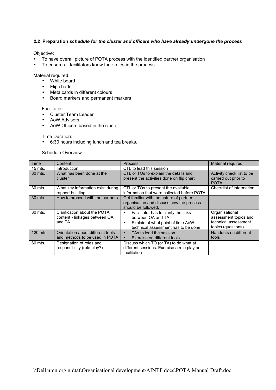#### *2.2* **Preparation** *schedule for the cluster and officers who have already undergone the process*

Objective:

- To have overall picture of POTA process with the identified partner organisation
- To ensure all facilitators know their roles in the process

Material required:

- White board
- Flip charts
- Meta cards in different colours
- Board markers and permanent markers

Facilitator:

- Cluster Team Leader
- AoW Advisors
- AoW Officers based in the cluster

Time Duration:

• 6:30 hours including lunch and tea breaks.

Schedule Overview:

| Time               | Content                                                                 | <b>Process</b>                                                                                                                               | Material required                                                                     |
|--------------------|-------------------------------------------------------------------------|----------------------------------------------------------------------------------------------------------------------------------------------|---------------------------------------------------------------------------------------|
| $15 \text{ mts}$ . | Introduction                                                            | CTL to lead this session                                                                                                                     |                                                                                       |
| 30 mts.            | What has been done at the<br>cluster                                    | CTL or TOs to explain the details and<br>present the activities done on flip chart                                                           | Activity check list to be<br>carried out prior to<br><b>POTA</b>                      |
| 30 mts.            | What key information exist during<br>rapport building                   | CTL or TOs to present the available<br>information that were collected before POTA                                                           | Checklist of information                                                              |
| 30 mts.            | How to proceed with the partners                                        | Get familiar with the nature of partner<br>organisation and discuss how the process<br>should be followed.                                   |                                                                                       |
| 30 mts.            | Clarification about the POTA<br>content - linkages between OA<br>and TA | Facilitator has to clarify the links<br>٠<br>between OA and TA.<br>Explain at what point of time AoW<br>technical assessment has to be done. | Organisational<br>assessment topics and<br>technical assessment<br>topics (questions) |
| 120 mts.           | Orientation about different tools<br>and methods to be used in POTA     | TAs to lead the session<br>$\bullet$<br>Exercise on different tools                                                                          | Handouts on different<br>tools                                                        |
| 60 mts.            | Designation of roles and<br>responsibility (role play?)                 | Discuss which TO (or TA) to do what at<br>different sessions. Exercise a role play on<br>facilitation                                        |                                                                                       |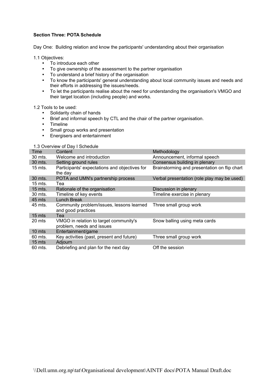#### **Section Three: POTA Schedule**

Day One: Building relation and know the participants' understanding about their organisation

1.1 Objectives:

- To introduce each other
- To give ownership of the assessment to the partner organisation
- To understand a brief history of the organisation
- To know the participants' general understanding about local community issues and needs and their efforts in addressing the issues/needs.
- To let the participants realise about the need for understanding the organisation's VMGO and their target location (including people) and works.

1.2 Tools to be used:

- Solidarity chain of hands
- Brief and informal speech by CTL and the chair of the partner organisation.
- Timeline
- Small group works and presentation
- Energisers and entertainment

1.3 Overview of Day I Schedule

| Time      | $5.01$ , $1.011$ , $0.104$ , $1.001$ , $0.001$<br>Content           | Methodology                                  |
|-----------|---------------------------------------------------------------------|----------------------------------------------|
| 30 mts.   | Welcome and introduction                                            | Announcement, informal speech                |
| 30 mts.   | Setting ground rules                                                | Consensus building in plenary                |
| $15$ mts. | Participants' expectations and objectives for<br>the day            | Brainstorming and presentation on flip chart |
| 30 mts.   | POTA and UMN's partnership process                                  | Verbal presentation (role play may be used)  |
| $15$ mts. | Tea                                                                 |                                              |
| $15$ mts. | Rationale of the organisation                                       | Discussion in plenary                        |
| 30 mts.   | Timeline of key events                                              | Timeline exercise in plenary                 |
| 45 mts    | Lunch Break                                                         |                                              |
| 45 mts.   | Community problem/issues, lessons learned<br>and good practices     | Three small group work                       |
| 15 mts    | Tea                                                                 |                                              |
| 20 mts    | VMGO in relation to target community's<br>problem, needs and issues | Snow balling using meta cards                |
| $10$ mts  | Entertainment/game                                                  |                                              |
| 60 mts.   | Key activities (past, present and future)                           | Three small group work                       |
| $15$ mts  | Adjourn                                                             |                                              |
| 60 mts.   | Debriefing and plan for the next day                                | Off the session                              |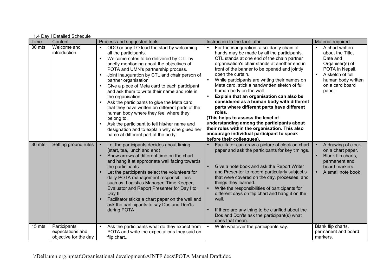| Time    | Content                                                    | Process and suggested tools                                                                                                                                                                                                                                                                                                                                                                                                                                                                                                                                                                                                                                                                                                                                         | Instruction to the facilitator                                                                                                                                                                                                                                                                                                                                                                                                                                                                                                                                                                                                                                                                                                                                           | Material required                                                                                                                                                         |
|---------|------------------------------------------------------------|---------------------------------------------------------------------------------------------------------------------------------------------------------------------------------------------------------------------------------------------------------------------------------------------------------------------------------------------------------------------------------------------------------------------------------------------------------------------------------------------------------------------------------------------------------------------------------------------------------------------------------------------------------------------------------------------------------------------------------------------------------------------|--------------------------------------------------------------------------------------------------------------------------------------------------------------------------------------------------------------------------------------------------------------------------------------------------------------------------------------------------------------------------------------------------------------------------------------------------------------------------------------------------------------------------------------------------------------------------------------------------------------------------------------------------------------------------------------------------------------------------------------------------------------------------|---------------------------------------------------------------------------------------------------------------------------------------------------------------------------|
| 30 mts. | Welcome and<br>introduction                                | ODO or any TO lead the start by welcoming<br>$\bullet$<br>all the participants.<br>Welcome notes to be delivered by CTL by<br>$\bullet$<br>briefly mentioning about the objectives of<br>POTA and UMN's partnership process.<br>Joint inauguration by CTL and chair person of<br>$\bullet$<br>partner organisation<br>Give a piece of Meta card to each participant<br>$\bullet$<br>and ask them to write their name and role in<br>the organisation.<br>Ask the participants to glue the Meta card<br>that they have written on different parts of the<br>human body where they feel where they<br>belong to.<br>Ask the participant to tell his/her name and<br>$\bullet$<br>designation and to explain why s/he glued her<br>name at different part of the body. | For the inauguration, a solidarity chain of<br>$\bullet$<br>hands may be made by all the participants.<br>CTL stands at one end of the chain partner<br>organisation's chair stands at another end in<br>front of the banner to be opened and jointly<br>open the curtain.<br>While participants are writing their names on<br>Meta card, stick a handwritten sketch of full<br>human body on the wall.<br>Explain that an organisation can also be<br>considered as a human body with different<br>parts where different parts have different<br>roles.<br>(This helps to assess the level of<br>understanding among the participants about<br>their roles within the organisation. This also<br>encourage individual participant to speak<br>before their colleagues). | A chart written<br>$\bullet$<br>about the Title,<br>Date and<br>Organiser(s) of<br>POTA in Nepali.<br>A sketch of full<br>human body written<br>on a card board<br>paper. |
| 30 mts. | Setting ground rules                                       | Let the participants decides about timing<br>(start, tea, lunch and end)<br>Show arrows at different time on the chart<br>and hang it at appropriate wall facing towards<br>the participants.<br>Let the participants select the volunteers for<br>daily POTA management responsibilities<br>such as, Logistics Manager, Time Keeper,<br>Evaluator and Report Presenter for Day I to<br>Day II.<br>Facilitator sticks a chart paper on the wall and<br>ask the participants to say Dos and Don'ts<br>during POTA.                                                                                                                                                                                                                                                   | Facilitator can draw a picture of clock on chart<br>paper and ask the participants for key timings.<br>Give a note book and ask the Report Writer<br>and Presenter to record particularly subject s<br>that were covered on the day, processes, and<br>things they learned.<br>Write the responsibilities of participants for<br>different days on flip chart and hang it on the<br>wall.<br>If there are any thing to be clarified about the<br>Dos and Don'ts ask the participant(s) what<br>does that mean.                                                                                                                                                                                                                                                           | A drawing of clock<br>on a chart paper.<br>Blank flip charts,<br>permanent and<br>board markers.<br>A small note book                                                     |
| 15 mts. | Participants'<br>expectations and<br>objective for the day | Ask the participants what do they expect from<br>POTA and write the expectations they said on<br>flip chart                                                                                                                                                                                                                                                                                                                                                                                                                                                                                                                                                                                                                                                         | Write whatever the participants say.<br>$\bullet$                                                                                                                                                                                                                                                                                                                                                                                                                                                                                                                                                                                                                                                                                                                        | Blank flip charts,<br>permanent and board<br>markers.                                                                                                                     |

1.4 Day I Detailed Schedule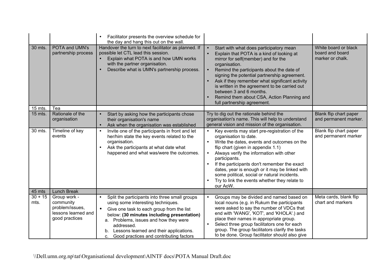|                   |                                                                                       | Facilitator presents the overview schedule for<br>the day and hang this out on the wall.                                                                                                                                                                                                                                                                     |                                                                                                                                                                                                                                                                                                                                                                                                                                                                   |                                                             |
|-------------------|---------------------------------------------------------------------------------------|--------------------------------------------------------------------------------------------------------------------------------------------------------------------------------------------------------------------------------------------------------------------------------------------------------------------------------------------------------------|-------------------------------------------------------------------------------------------------------------------------------------------------------------------------------------------------------------------------------------------------------------------------------------------------------------------------------------------------------------------------------------------------------------------------------------------------------------------|-------------------------------------------------------------|
| 30 mts.           | POTA and UMN's<br>partnership process                                                 | Handover the turn to next facilitator as planned. If<br>possible let CTL lead this session.<br>Explain what POTA is and how UMN works<br>with the partner organisation.<br>Describe what is UMN's partnership process.<br>$\bullet$                                                                                                                          | Start with what does participatory mean<br>$\bullet$<br>Explain that POTA is a kind of looking at<br>mirror for self(member) and for the<br>organisation.<br>Remind the participants about the date of<br>signing the potential partnership agreement.<br>Ask if they remember what significant activity<br>is written in the agreement to be carried out<br>between 3 and 6 months.<br>Remind them about CSA, Action Planning and<br>full partnership agreement. | White board or black<br>board and board<br>marker or chalk. |
| 15 mts.           | Tea                                                                                   |                                                                                                                                                                                                                                                                                                                                                              |                                                                                                                                                                                                                                                                                                                                                                                                                                                                   |                                                             |
| 15 mts.           | Rationale of the<br>organisation                                                      | Start by asking how the participants chose<br>their organisation's name<br>Ask when the organisation was established<br>$\bullet$                                                                                                                                                                                                                            | Try to dig out the rationale behind the<br>organisation's name. This will help to understand<br>general vision and mission of the organisation.                                                                                                                                                                                                                                                                                                                   | Blank flip chart paper<br>and permanent marker.             |
| 30 mts.           | Timeline of key<br>events                                                             | Invite one of the participants in front and let<br>$\bullet$<br>her/him state the key events related to the<br>organisation.<br>Ask the participants at what date what<br>$\bullet$<br>happened and what was/were the outcomes.                                                                                                                              | Key events may start pre-registration of the<br>$\bullet$<br>organisation to date.<br>Write the dates, events and outcomes on the<br>flip chart (given in appendix 1.1)<br>Always verify the information with other<br>participants.<br>If the participants don't remember the exact<br>dates, year is enough or it may be linked with<br>some political, social or natural incidents.<br>Try to link the events whether they relate to<br>our AoW.               | Blank flip chart paper<br>and permanent marker              |
| 45 mts            | Lunch Break                                                                           |                                                                                                                                                                                                                                                                                                                                                              |                                                                                                                                                                                                                                                                                                                                                                                                                                                                   |                                                             |
| $30 + 15$<br>mts. | Group work -<br>community<br>problem/issues,<br>lessons learned and<br>good practices | Split the participants into three small groups<br>$\bullet$<br>using some interesting techniques.<br>$\bullet$<br>Give one task to each group from the list<br>below: (30 minutes including presentation)<br>a. Problems, issues and how they were<br>addressed.<br>Lessons learned and their applications.<br>Good practices and contributing factors<br>c. | Groups may be divided and named based on<br>local nouns (e.g. in Rukum the participants<br>were asked to say the number of VDCs that<br>end with 'WANG', 'KOT', and 'KHOLA'.) and<br>place their names in appropriate group.<br>Select three group facilitators one for each<br>group. The group facilitators clarify the tasks<br>to be done. Group facilitator should also give                                                                                 | Meta cards, blank flip<br>chart and markers                 |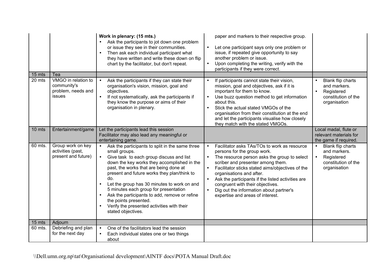|         |                                                                    | Work in plenary: (15 mts.)<br>Ask the participants to jot down one problem<br>or issue they see in their communities.<br>Then ask each individual participant what<br>$\bullet$<br>they have written and write these down on flip<br>chart by the facilitator, but don't repeat.                                                                                                                                                                                                                                                         | paper and markers to their respective group.<br>Let one participant says only one problem or<br>$\bullet$<br>issue, if repeated give opportunity to say<br>another problem or issue.<br>Upon completing the writing, verify with the<br>$\bullet$<br>participants if they were correct.                                                                                                                                                                         |                                                                                                     |
|---------|--------------------------------------------------------------------|------------------------------------------------------------------------------------------------------------------------------------------------------------------------------------------------------------------------------------------------------------------------------------------------------------------------------------------------------------------------------------------------------------------------------------------------------------------------------------------------------------------------------------------|-----------------------------------------------------------------------------------------------------------------------------------------------------------------------------------------------------------------------------------------------------------------------------------------------------------------------------------------------------------------------------------------------------------------------------------------------------------------|-----------------------------------------------------------------------------------------------------|
| 15 mts  | Tea                                                                |                                                                                                                                                                                                                                                                                                                                                                                                                                                                                                                                          |                                                                                                                                                                                                                                                                                                                                                                                                                                                                 |                                                                                                     |
| 20 mts  | VMGO in relation to<br>community's<br>problem, needs and<br>issues | Ask the participants if they can state their<br>organisation's vision, mission, goal and<br>objectives.<br>If not systematically, ask the participants if<br>they know the purpose or aims of their<br>organisation in plenary.                                                                                                                                                                                                                                                                                                          | If participants cannot state their vision,<br>mission, goal and objectives, ask if it is<br>important for them to know.<br>Use buzz question method to get information<br>about this.<br>Stick the actual stated VMGOs of the<br>$\bullet$<br>organisation from their constitution at the end<br>and let the participants visualise how closely<br>they match with the stated VMGOs.                                                                            | Blank flip charts<br>and markers.<br>Registered<br>constitution of the<br>organisation              |
| 10 mts  | Entertainment/game                                                 | Let the participants lead this session<br>Facilitator may also lead any meaningful or<br>entertaining game.                                                                                                                                                                                                                                                                                                                                                                                                                              |                                                                                                                                                                                                                                                                                                                                                                                                                                                                 | Local madal, flute or<br>relevant materials for<br>the game if required.                            |
| 60 mts. | Group work on key<br>activities (past,<br>present and future)      | Ask the participants to split in the same three<br>small groups.<br>Give task to each group discuss and list<br>$\bullet$<br>down the key works they accomplished in the<br>past, the works that are being done at<br>present and future works they plan/think to<br>do.<br>Let the group has 30 minutes to work on and<br>5 minutes each group for presentation<br>Ask the participants to add, remove or refine<br>$\bullet$<br>the points presented.<br>Verify the presented activities with their<br>$\bullet$<br>stated objectives. | Facilitator asks TAs/TOs to work as resource<br>$\bullet$<br>persons for the group work.<br>The resource person asks the group to select<br>$\bullet$<br>scriber and presenter among them.<br>Facilitator sticks stated aims/objectives of the<br>$\bullet$<br>organisations and after.<br>Ask the participants if the listed activities are<br>congruent with their objectives.<br>Dig out the information about partner's<br>expertise and areas of interest. | Blank flip charts<br>and markers.<br>Registered<br>$\bullet$<br>constitution of the<br>organisation |
| 15 mts  | Adjourn                                                            |                                                                                                                                                                                                                                                                                                                                                                                                                                                                                                                                          |                                                                                                                                                                                                                                                                                                                                                                                                                                                                 |                                                                                                     |
| 60 mts. | Debriefing and plan<br>for the next day                            | One of the facilitators lead the session<br>Each individual states one or two things<br>$\bullet$<br>about                                                                                                                                                                                                                                                                                                                                                                                                                               |                                                                                                                                                                                                                                                                                                                                                                                                                                                                 |                                                                                                     |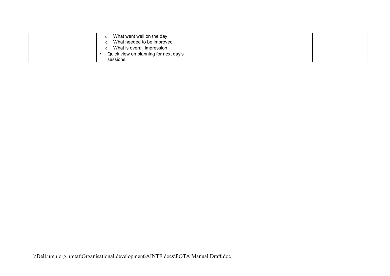|  | What went well on the day             |
|--|---------------------------------------|
|  | What needed to be improved            |
|  | What is overall impression.           |
|  | Quick view on planning for next day's |
|  | sessions.                             |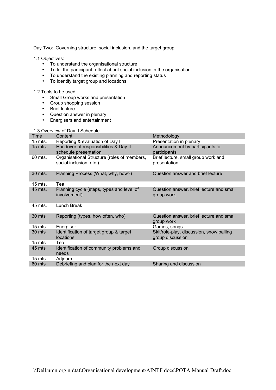Day Two: Governing structure, social inclusion, and the target group

#### 1.1 Objectives:

- To understand the organisational structure
- To let the participant reflect about social inclusion in the organisation
- To understand the existing planning and reporting status
- To identify target group and locations

1.2 Tools to be used:

- Small Group works and presentation
- Group shopping session
- Brief lecture
- Question answer in plenary
- Energisers and entertainment

#### 1.3 Overview of Day II Schedule

| Time               | Content                                                                | Methodology                                                  |
|--------------------|------------------------------------------------------------------------|--------------------------------------------------------------|
| 15 mts.            | Reporting & evaluation of Day I                                        | Presentation in plenary                                      |
| $15$ mts.          | Handover of responsibilities & Day II<br>schedule presentation         | Announcement by participants to<br>participants              |
| 60 mts.            | Organisational Structure (roles of members,<br>social inclusion, etc.) | Brief lecture, small group work and<br>presentation          |
| 30 mts.            | Planning Process (What, why, how?)                                     | Question answer and brief lecture                            |
| $15$ mts.          | Tea                                                                    |                                                              |
| 45 mts.            | Planning cycle (steps, types and level of<br>involvement)              | Question answer, brief lecture and small<br>group work       |
| 45 mts.            | Lunch Break                                                            |                                                              |
| 30 mts             | Reporting (types, how often, who)                                      | Question answer, brief lecture and small<br>group work       |
| $15$ mts.          | Energiser                                                              | Games, songs                                                 |
| 30 mts             | Identification of target group & target<br><b>locations</b>            | Skit/role-play, discussion, snow balling<br>group discussion |
| $15 \mathrm{m}$ ts | Теа                                                                    |                                                              |
| 45 mts             | Identification of community problems and<br>needs                      | Group discussion                                             |
| $15$ mts.          | Adjourn                                                                |                                                              |
| 60 mts             | Debriefing and plan for the next day                                   | Sharing and discussion                                       |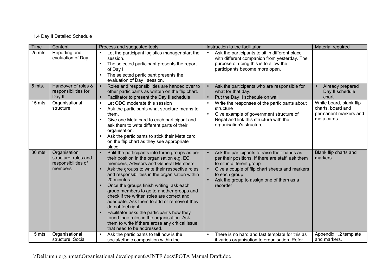## 1.4 Day II Detailed Schedule

| Time      | Content                                                                | Process and suggested tools                                                                                                                                                                                                                                                                                                                                                                                                                                                                                                                                                                                                                         | Instruction to the facilitator                                                                                                                                                                                                                            | Material required                                                                    |
|-----------|------------------------------------------------------------------------|-----------------------------------------------------------------------------------------------------------------------------------------------------------------------------------------------------------------------------------------------------------------------------------------------------------------------------------------------------------------------------------------------------------------------------------------------------------------------------------------------------------------------------------------------------------------------------------------------------------------------------------------------------|-----------------------------------------------------------------------------------------------------------------------------------------------------------------------------------------------------------------------------------------------------------|--------------------------------------------------------------------------------------|
| 25 mts.   | Reporting and<br>evaluation of Day I                                   | Let the participant logistics manager start the<br>$\bullet$<br>session.<br>The selected participant presents the report<br>$\bullet$<br>of Day I.<br>The selected participant presents the<br>$\bullet$<br>evaluation of Day I session.                                                                                                                                                                                                                                                                                                                                                                                                            | Ask the participants to sit in different place<br>$\bullet$<br>with different companion from yesterday. The<br>purpose of doing this is to allow the<br>participants become more open.                                                                    |                                                                                      |
| 5 mts.    | Handover of roles &<br>responsibilities for<br>Day II                  | Roles and responsibilities are handed over to<br>other participants as written on the flip chart.<br>Facilitator to present the Day II schedule                                                                                                                                                                                                                                                                                                                                                                                                                                                                                                     | Ask the participants who are responsible for<br>what for that day.<br>Put the Day II schedule on wall                                                                                                                                                     | Already prepared<br>Day II schedule<br>chart                                         |
| $15$ mts. | Organisational<br>structure                                            | Let ODO moderate this session<br>$\bullet$<br>Ask the participants what structure means to<br>$\bullet$<br>them.<br>Give one Meta card to each participant and<br>$\bullet$<br>ask them to write different parts of their<br>organisation.<br>Ask the participants to stick their Meta card<br>$\bullet$<br>on the flip chart as they see appropriate<br>place.                                                                                                                                                                                                                                                                                     | Write the responses of the participants about<br>structure<br>Give example of government structure of<br>$\bullet$<br>Nepal and link this structure with the<br>organisation's structure                                                                  | White board, blank flip<br>charts, board and<br>permanent markers and<br>meta cards. |
| 30 mts.   | Organisation<br>structure: roles and<br>responsibilities of<br>members | Split the participants into three groups as per<br>their position in the organisation e.g. EC<br>members, Advisors and General Members<br>Ask the groups to write their respective roles<br>and responsibilities in the organisation within<br>20 minutes.<br>Once the groups finish writing, ask each<br>group members to go to another groups and<br>check if the written roles are correct and<br>adequate. Ask them to add or remove if they<br>do not feel right.<br>Facilitator asks the participants how they<br>found their roles in the organisation. Ask<br>them to write if there arose any critical issue<br>that need to be addressed. | Ask the participants to raise their hands as<br>per their positions. If there are staff, ask them<br>to sit in different group<br>Give a couple of flip chart sheets and markers<br>to each group<br>Ask the group to assign one of them as a<br>recorder | Blank flip charts and<br>markers.                                                    |
| 15 mts.   | Organisational<br>structure: Social                                    | Ask the participants to tell how is the<br>social/ethnic composition within the                                                                                                                                                                                                                                                                                                                                                                                                                                                                                                                                                                     | There is no hard and fast template for this as<br>it varies organisation to organisation. Refer                                                                                                                                                           | Appendix 1.2 template<br>and markers.                                                |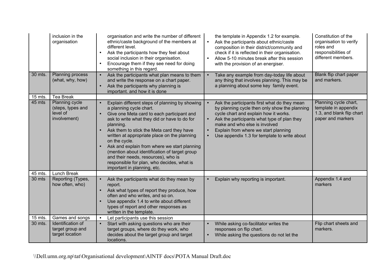|                   | inclusion in the<br>organisation                         | organisation and write the number of different<br>ethnic/caste background of the members at<br>different level.<br>Ask the participants how they feel about<br>$\bullet$<br>social inclusion in their organisation.<br>Encourage them if they see need for doing<br>something in this regard.                                                                                                                                                                         | the template in Appendix 1.2 for example.<br>Ask the participants about ethnic/caste<br>$\bullet$<br>composition in their district/community and<br>check if it is reflected in their organisation.<br>Allow 5-10 minutes break after this session<br>with the provision of an energiser. | Constitution of the<br>organisation to verify<br>roles and<br>responsibilities of<br>different members. |
|-------------------|----------------------------------------------------------|-----------------------------------------------------------------------------------------------------------------------------------------------------------------------------------------------------------------------------------------------------------------------------------------------------------------------------------------------------------------------------------------------------------------------------------------------------------------------|-------------------------------------------------------------------------------------------------------------------------------------------------------------------------------------------------------------------------------------------------------------------------------------------|---------------------------------------------------------------------------------------------------------|
| 30 mts.           | Planning process<br>(what, why, how)                     | Ask the participants what plan means to them<br>and write the response on a chart paper.<br>Ask the participants why planning is<br>important. and how it is done                                                                                                                                                                                                                                                                                                     | Take any example from day-today life about<br>any thing that involves planning. This may be<br>a planning about some key family event.                                                                                                                                                    | Blank flip chart paper<br>and markers.                                                                  |
| 15 mts.<br>45 mts | <b>Tea Break</b><br>Planning cycle                       | Explain different steps of planning by showing                                                                                                                                                                                                                                                                                                                                                                                                                        | Ask the participants first what do they mean                                                                                                                                                                                                                                              | Planning cycle chart,                                                                                   |
|                   | (steps, types and<br>level of<br>involvement)            | a planning cycle chart.<br>Give one Meta card to each participant and<br>ask to write what they did or have to do for<br>planning.<br>Ask them to stick the Meta card they have<br>written at appropriate place on the planning<br>on the cycle.<br>Ask and explain from where we start planning<br>(mention about identification of target group<br>and their needs, resources), who is<br>responsible for plan, who decides, what is<br>important in planning, etc. | by planning cycle then only show the planning<br>cycle chart and explain how it works.<br>Ask the participants what type of plan they<br>make and who else is involved<br>Explain from where we start planning<br>$\bullet$<br>Use appendix 1.3 for template to write about<br>$\bullet$  | template in appendix<br>1.3, and blank flip chart<br>paper and markers                                  |
| 45 mts.           | Lunch Break                                              |                                                                                                                                                                                                                                                                                                                                                                                                                                                                       |                                                                                                                                                                                                                                                                                           |                                                                                                         |
| 30 mts            | Reporting (Types,<br>how often, who)                     | Ask the participants what do they mean by<br>report.<br>Ask what types of report they produce, how<br>often and who writes, and so on.<br>Use appendix 1.4 to write about different<br>types of report and other responses as<br>written in the template.                                                                                                                                                                                                             | Explain why reporting is important.<br>$\bullet$                                                                                                                                                                                                                                          | Appendix 1.4 and<br>markers                                                                             |
| 15 mts.           | Games and songs                                          | Let participants use this session                                                                                                                                                                                                                                                                                                                                                                                                                                     |                                                                                                                                                                                                                                                                                           |                                                                                                         |
| 30 mts.           | Identification of<br>target group and<br>target location | Start with asking questions who are their<br>target groups, where do they work, who<br>decides about the target group and target<br>locations.                                                                                                                                                                                                                                                                                                                        | While asking co-facilitator writes the<br>$\bullet$<br>responses on flip chart.<br>While asking the questions do not let the                                                                                                                                                              | Flip chart sheets and<br>markers.                                                                       |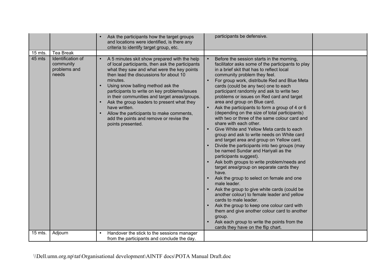|           |                                                         | Ask the participants how the target groups<br>and locations were identified, is there any<br>criteria to identify target group, etc.                                                                                                                                                                                                                                                                                                                                                                                  | participants be defensive.                                                                                                                                                                                                                                                                                                                                                                                                                                                                                                                                                                                                                                                                                                                                                                                                                                                                                                                                                                                                                                                                                                                                                                                                                                                                                                                        |  |
|-----------|---------------------------------------------------------|-----------------------------------------------------------------------------------------------------------------------------------------------------------------------------------------------------------------------------------------------------------------------------------------------------------------------------------------------------------------------------------------------------------------------------------------------------------------------------------------------------------------------|---------------------------------------------------------------------------------------------------------------------------------------------------------------------------------------------------------------------------------------------------------------------------------------------------------------------------------------------------------------------------------------------------------------------------------------------------------------------------------------------------------------------------------------------------------------------------------------------------------------------------------------------------------------------------------------------------------------------------------------------------------------------------------------------------------------------------------------------------------------------------------------------------------------------------------------------------------------------------------------------------------------------------------------------------------------------------------------------------------------------------------------------------------------------------------------------------------------------------------------------------------------------------------------------------------------------------------------------------|--|
| $15$ mts. | Tea Break                                               |                                                                                                                                                                                                                                                                                                                                                                                                                                                                                                                       |                                                                                                                                                                                                                                                                                                                                                                                                                                                                                                                                                                                                                                                                                                                                                                                                                                                                                                                                                                                                                                                                                                                                                                                                                                                                                                                                                   |  |
| 45 mts    | Identification of<br>community<br>problems and<br>needs | A 5 minutes skit show prepared with the help<br>of local participants, then ask the participants<br>what they saw and what were the key points<br>then lead the discussions for about 10<br>minutes.<br>Using snow balling method ask the<br>participants to write on key problems/issues<br>in their communities and target areas/groups.<br>Ask the group leaders to present what they<br>have written.<br>Allow the participants to make comments,<br>add the points and remove or revise the<br>points presented. | Before the session starts in the morning,<br>facilitator asks some of the participants to play<br>in a brief skit that has to reflect local<br>community problem they feel.<br>For group work, distribute Red and Blue Meta<br>cards (could be any two) one to each<br>participant randomly and ask to write two<br>problems or issues on Red card and target<br>area and group on Blue card.<br>Ask the participants to form a group of 4 or 6<br>(depending on the size of total participants)<br>with two or three of the same colour card and<br>share with each other.<br>Give White and Yellow Meta cards to each<br>$\bullet$<br>group and ask to write needs on White card<br>and target area and group on Yellow card.<br>Divide the participants into two groups (may<br>$\bullet$<br>be named Sundar and Hariyali as the<br>participants suggest).<br>Ask both groups to write problem/needs and<br>target area/group on separate cards they<br>have.<br>Ask the group to select on female and one<br>male leader.<br>Ask the group to give white cards (could be<br>another colour) to female leader and yellow<br>cards to male leader.<br>Ask the group to keep one colour card with<br>them and give another colour card to another<br>group.<br>Ask each group to write the points from the<br>cards they have on the flip chart. |  |
| 15 mts.   | Adjourn                                                 | Handover the stick to the sessions manager<br>$\bullet$<br>from the participants and conclude the day.                                                                                                                                                                                                                                                                                                                                                                                                                |                                                                                                                                                                                                                                                                                                                                                                                                                                                                                                                                                                                                                                                                                                                                                                                                                                                                                                                                                                                                                                                                                                                                                                                                                                                                                                                                                   |  |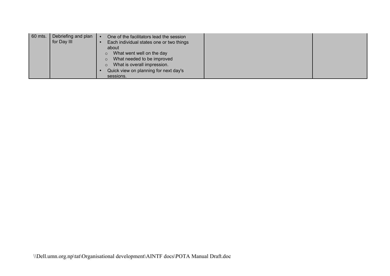| 60 mts. | Debriefing and plan<br>for Day III | One of the facilitators lead the session<br>Each individual states one or two things<br>about<br>What went well on the day<br>What needed to be improved<br>What is overall impression.<br>Quick view on planning for next day's |  |
|---------|------------------------------------|----------------------------------------------------------------------------------------------------------------------------------------------------------------------------------------------------------------------------------|--|
|         |                                    | sessions.                                                                                                                                                                                                                        |  |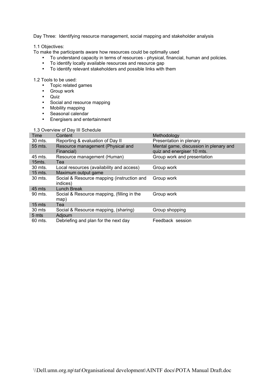Day Three: Identifying resource management, social mapping and stakeholder analysis

1.1 Objectives:

To make the participants aware how resources could be optimally used

- To understand capacity in terms of resources physical, financial, human and policies.
- To identify locally available resources and resource gap
- To identify relevant stakeholders and possible links with them

1.2 Tools to be used:

- Topic related games
- Group work
- Quiz
- Social and resource mapping
- Mobility mapping
- Seasonal calendar
- Energisers and entertainment

#### 1.3 Overview of Day III Schedule

| Time      | Content                                                | Methodology                                                          |
|-----------|--------------------------------------------------------|----------------------------------------------------------------------|
| 30 mts.   | Reporting & evaluation of Day II                       | Presentation in plenary                                              |
| 55 mts.   | Resource management (Physical and<br>Financial)        | Mental game, discussion in plenary and<br>quiz and energiser 10 mts. |
| 45 mts.   | Resource management (Human)                            | Group work and presentation                                          |
| 15mts.    | Tea                                                    |                                                                      |
| 30 mts.   | Local resources (availability and access)              | Group work                                                           |
| $15$ mts. | Maximum output game                                    |                                                                      |
| 30 mts.   | Social & Resource mapping (instruction and<br>indices) | Group work                                                           |
| 45 mts    | <b>Lunch Break</b>                                     |                                                                      |
| 90 mts.   | Social & Resource mapping, (filling in the<br>map)     | Group work                                                           |
| 15 mts    | Tea                                                    |                                                                      |
| 30 mts    | Social & Resource mapping, (sharing)                   | Group shopping                                                       |
| 5 mts     | Adjourn                                                |                                                                      |
| 60 mts.   | Debriefing and plan for the next day                   | Feedback session                                                     |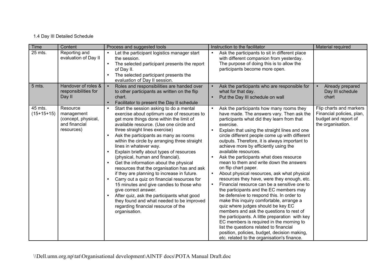## 1.4 Day III Detailed Schedule

| <b>Time</b>             | Content                                                                      | Process and suggested tools                                                                                                                                                                                                                                                                                                                                                                                                                                                                                                                                                                                                                                                                                                                                                                                                                   | Instruction to the facilitator                                                                                                                                                                                                                                                                                                                                                                                                                                                                                                                                                                                                                                                                                                                                                                                                                                                                                                                                                                                                                                                                                                          | Material required                                                                                 |
|-------------------------|------------------------------------------------------------------------------|-----------------------------------------------------------------------------------------------------------------------------------------------------------------------------------------------------------------------------------------------------------------------------------------------------------------------------------------------------------------------------------------------------------------------------------------------------------------------------------------------------------------------------------------------------------------------------------------------------------------------------------------------------------------------------------------------------------------------------------------------------------------------------------------------------------------------------------------------|-----------------------------------------------------------------------------------------------------------------------------------------------------------------------------------------------------------------------------------------------------------------------------------------------------------------------------------------------------------------------------------------------------------------------------------------------------------------------------------------------------------------------------------------------------------------------------------------------------------------------------------------------------------------------------------------------------------------------------------------------------------------------------------------------------------------------------------------------------------------------------------------------------------------------------------------------------------------------------------------------------------------------------------------------------------------------------------------------------------------------------------------|---------------------------------------------------------------------------------------------------|
| 25 mts.                 | Reporting and<br>evaluation of Day II                                        | Let the participant logistics manager start<br>the session.<br>The selected participant presents the report<br>of Day II.<br>The selected participant presents the<br>evaluation of Day II session.                                                                                                                                                                                                                                                                                                                                                                                                                                                                                                                                                                                                                                           | Ask the participants to sit in different place<br>$\bullet$<br>with different companion from yesterday.<br>The purpose of doing this is to allow the<br>participants become more open.                                                                                                                                                                                                                                                                                                                                                                                                                                                                                                                                                                                                                                                                                                                                                                                                                                                                                                                                                  |                                                                                                   |
| 5 mts.                  | Handover of roles &<br>responsibilities for<br>Day II                        | Roles and responsibilities are handed over<br>to other participants as written on the flip<br>chart.<br>Facilitator to present the Day II schedule                                                                                                                                                                                                                                                                                                                                                                                                                                                                                                                                                                                                                                                                                            | Ask the participants who are responsible for<br>what for that day.<br>Put the Day III schedule on wall                                                                                                                                                                                                                                                                                                                                                                                                                                                                                                                                                                                                                                                                                                                                                                                                                                                                                                                                                                                                                                  | Already prepared<br>$\bullet$<br>Day III schedule<br>chart                                        |
| 45 mts.<br>$(15+15+15)$ | Resource<br>management<br>(concept, physical,<br>and financial<br>resources) | Start the session asking to do a mental<br>$\bullet$<br>exercise about optimum use of resources to<br>get more things done within the limit of<br>available resource. (Use one circle and<br>three straight lines exercise)<br>Ask the participants as many as rooms<br>within the circle by arranging three straight<br>lines in whatever way.<br>Explain briefly about types of resources<br>(physical, human and financial).<br>Get the information about the physical<br>resources that the organisation has and ask<br>if they are planning to increase in future.<br>Carry out a quiz on financial resources for<br>15 minutes and give candies to those who<br>give correct answer.<br>After quiz, ask the participants what good<br>they found and what needed to be improved<br>regarding financial resource of the<br>organisation. | Ask the participants how many rooms they<br>have made. The answers vary. Then ask the<br>participants what did they learn from that<br>exercise.<br>Explain that using the straight lines and one<br>circle different people come up with different<br>outputs. Therefore, it is always important to<br>achieve more by efficiently using the<br>available resources.<br>Ask the participants what does resource<br>$\bullet$<br>mean to them and write down the answers<br>on flip chart paper.<br>About physical resources, ask what physical<br>$\bullet$<br>resources they have, were they enough, etc.<br>Financial resource can be a sensitive one to<br>$\bullet$<br>the participants and the EC members may<br>be defensive to respond this. In order to<br>make this inquiry comfortable, arrange a<br>quiz where judges should be key EC<br>members and ask the questions to rest of<br>the participants. A little preparation with key<br>EC members is required in the morning to<br>list the questions related to financial<br>position, policies, budget, decision making,<br>etc. related to the organisation's finance. | Flip charts and markers<br>Financial policies, plan,<br>budget and report of<br>the organisation. |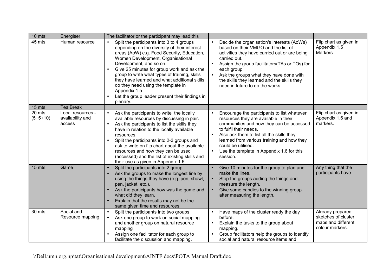| 10 mts.               | Energiser                                       | The facilitator or the participant may lead this                                                                                                                                                                                                                                                                                                                                                                                                                                                      |                                                                                                                                                                                                                                                                                                                                                                                         |                                                                                  |
|-----------------------|-------------------------------------------------|-------------------------------------------------------------------------------------------------------------------------------------------------------------------------------------------------------------------------------------------------------------------------------------------------------------------------------------------------------------------------------------------------------------------------------------------------------------------------------------------------------|-----------------------------------------------------------------------------------------------------------------------------------------------------------------------------------------------------------------------------------------------------------------------------------------------------------------------------------------------------------------------------------------|----------------------------------------------------------------------------------|
| 45 mts.               | Human resource                                  | Split the participants into 3 to 4 groups<br>$\bullet$<br>depending on the diversity of their interest<br>areas (AoW) e.g. Food Security, Education,<br>Women Development, Organisational<br>Development, and so on.<br>Give 25 minutes for group work and ask the<br>group to write what types of training, skills<br>they have learned and what additional skills<br>do they need using the template in<br>Appendix 1.5.<br>Let the group leader present their findings in<br>$\bullet$<br>plenary. | Decide the organisation's interests (AoWs)<br>$\bullet$<br>based on their VMGO and the list of<br>activities they have carried out or are being<br>carried out.<br>Assign the group facilitators (TAs or TOs) for<br>$\bullet$<br>each group.<br>Ask the groups what they have done with<br>$\bullet$<br>the skills they learned and the skills they<br>need in future to do the works. | Flip chart as given in<br>Appendix 1.5<br>Markers                                |
| 15 mts.               | <b>Tea Break</b>                                |                                                                                                                                                                                                                                                                                                                                                                                                                                                                                                       |                                                                                                                                                                                                                                                                                                                                                                                         |                                                                                  |
| 20 mts.<br>$(5+5+10)$ | Local resources -<br>availability and<br>access | Ask the participants to write the locally<br>$\bullet$<br>available resources by discussing in pair.<br>Ask the participants to list the skills they<br>$\bullet$<br>have in relation to the locally available<br>resources.<br>Split the participants into 2-3 groups and<br>$\bullet$<br>ask to write on flip chart about the available<br>resources and how they can be used<br>(accessed) and the list of existing skills and<br>their use as given in Appendix 1.6                               | Encourage the participants to list whatever<br>resources they are available in their<br>communities and how they can be accessed<br>to fulfil their needs.<br>Also ask them to list all the skills they<br>learned from various training and how they<br>could be utilised.<br>Use the template in Appendix 1.6 for this<br>$\bullet$<br>session.                                       | Flip chart as given in<br>Appendix 1.6 and<br>markers.                           |
| 15 mts                | Game                                            | Split the participants into 2 group<br>$\bullet$<br>Ask the groups to make the longest line by<br>using the things they have (e.g. pen, shawl,<br>pen, jacket, etc.).<br>Ask the participants how was the game and<br>$\bullet$<br>what did they learn.<br>Explain that the results may not be the<br>same given time and resources.                                                                                                                                                                  | Give 10 minutes for the group to plan and<br>make the lines.<br>Stop the groups adding the things and<br>$\bullet$<br>measure the length.<br>Give some candies to the winning group<br>$\bullet$<br>after measuring the length.                                                                                                                                                         | Any thing that the<br>participants have                                          |
| 30 mts.               | Social and<br>Resource mapping                  | Split the participants into two groups<br>$\bullet$<br>Ask one group to work on social mapping<br>and another group on natural resource<br>mapping<br>Assign one facilitator for each group to<br>facilitate the discussion and mapping.                                                                                                                                                                                                                                                              | Have maps of the cluster ready the day<br>before.<br>Explain the tasks to the group about<br>$\bullet$<br>mapping.<br>Group facilitators help the groups to identify<br>social and natural resource items and                                                                                                                                                                           | Already prepared<br>sketches of cluster<br>maps and different<br>colour markers. |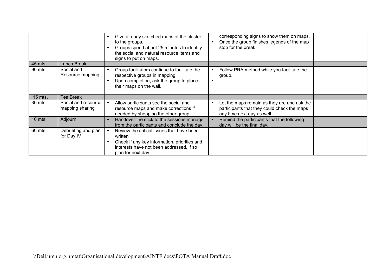|         |                                        | Give already sketched maps of the cluster<br>to the groups.<br>Groups spend about 25 minutes to identify<br>the social and natural resource items and<br>signs to put on maps.      | corresponding signs to show them on maps.<br>Once the group finishes legends of the map<br>$\bullet$<br>stop for the break.           |  |
|---------|----------------------------------------|-------------------------------------------------------------------------------------------------------------------------------------------------------------------------------------|---------------------------------------------------------------------------------------------------------------------------------------|--|
| 45 mts  | Lunch Break                            |                                                                                                                                                                                     |                                                                                                                                       |  |
| 90 mts. | Social and<br>Resource mapping         | Group facilitators continue to facilitate the<br>٠<br>respective groups in mapping<br>Upon completion, ask the group to place<br>their maps on the wall.                            | Follow PRA method while you facilitate the<br>$\bullet$<br>group.<br>$\bullet$                                                        |  |
| 15 mts. | <b>Tea Break</b>                       |                                                                                                                                                                                     |                                                                                                                                       |  |
| 30 mts. | Social and resource<br>mapping sharing | Allow participants see the social and<br>resource maps and make corrections if<br>needed by shopping the other group                                                                | Let the maps remain as they are and ask the<br>$\bullet$<br>participants that they could check the maps<br>any time next day as well. |  |
| 10 mts  | Adjourn                                | Handover the stick to the sessions manager<br>from the participants and conclude the day.                                                                                           | Remind the participants that the following<br>day will be the final day.                                                              |  |
| 60 mts. | Debriefing and plan<br>for Day IV      | Review the critical issues that have been<br>written<br>Check if any key information, priorities and<br>$\bullet$<br>interests have not been addressed, if so<br>plan for next day. |                                                                                                                                       |  |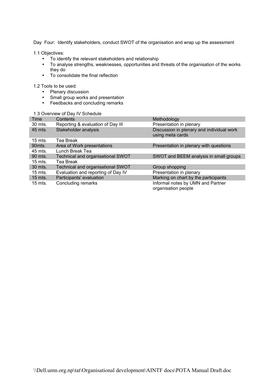Day Four: Identify stakeholders, conduct SWOT of the organisation and wrap up the assessment

1.1 Objectives:

- To identify the relevant stakeholders and relationship
- To analyse strengths, weaknesses, opportunities and threats of the organisation of the works they do
- To consolidate the final reflection

1.2 Tools to be used:

- Plenary discussion
- Small group works and presentation
- Feedbacks and concluding remarks

#### 1.3 Overview of Day IV Schedule

| Time              | Contents                           | Methodology                                                   |
|-------------------|------------------------------------|---------------------------------------------------------------|
| 30 mts.           | Reporting & evaluation of Day III  | Presentation in plenary                                       |
| 45 mts.           | Stakeholder analysis               | Discussion in plenary and individual work<br>using meta cards |
| $15$ mts.         | Tea Break                          |                                                               |
| 90 <sub>mts</sub> | Area of Work presentations         | Presentation in plenary with questions                        |
| 45 mts.           | Lunch Break Tea                    |                                                               |
| 90 mts.           | Technical and organisational SWOT  | SWOT and BEEM analysis in small groups                        |
| $15$ mts.         | Tea Break                          |                                                               |
| 30 mts.           | Technical and organisational SWOT  | Group shopping                                                |
| $15$ mts.         | Evaluation and reporting of Day IV | Presentation in plenary                                       |
| $15$ mts.         | Participants' evaluation           | Marking on chart by the participants                          |
| $15$ mts.         | Concluding remarks                 | Informal notes by UMN and Partner<br>organisation people      |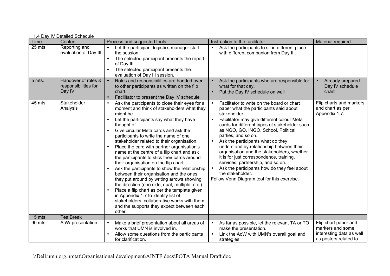|             | 1.4 Day IV Detailed Schedule                          |                                                                                                                                                                                                                                                                                                                                                                                                                                                                                                                                                                                                                                                                                                                                                                                                                                                                                 |                                                                                                                                                                                                                                                                                                                                                                                                                                                                                                                                                                                                                                            |                                                                                               |  |  |  |  |
|-------------|-------------------------------------------------------|---------------------------------------------------------------------------------------------------------------------------------------------------------------------------------------------------------------------------------------------------------------------------------------------------------------------------------------------------------------------------------------------------------------------------------------------------------------------------------------------------------------------------------------------------------------------------------------------------------------------------------------------------------------------------------------------------------------------------------------------------------------------------------------------------------------------------------------------------------------------------------|--------------------------------------------------------------------------------------------------------------------------------------------------------------------------------------------------------------------------------------------------------------------------------------------------------------------------------------------------------------------------------------------------------------------------------------------------------------------------------------------------------------------------------------------------------------------------------------------------------------------------------------------|-----------------------------------------------------------------------------------------------|--|--|--|--|
| <b>Time</b> | Content                                               | Process and suggested tools                                                                                                                                                                                                                                                                                                                                                                                                                                                                                                                                                                                                                                                                                                                                                                                                                                                     | Instruction to the facilitator                                                                                                                                                                                                                                                                                                                                                                                                                                                                                                                                                                                                             | Material required                                                                             |  |  |  |  |
| 25 mts.     | Reporting and<br>evaluation of Day III                | Let the participant logistics manager start<br>$\bullet$<br>the session.<br>The selected participant presents the report<br>of Day III.<br>The selected participant presents the<br>evaluation of Day III session.                                                                                                                                                                                                                                                                                                                                                                                                                                                                                                                                                                                                                                                              | Ask the participants to sit in different place<br>$\bullet$<br>with different companion from Day III.                                                                                                                                                                                                                                                                                                                                                                                                                                                                                                                                      |                                                                                               |  |  |  |  |
| 5 mts.      | Handover of roles &<br>responsibilities for<br>Day IV | Roles and responsibilities are handed over<br>$\bullet$<br>to other participants as written on the flip<br>chart.<br>Facilitator to present the Day IV schedule                                                                                                                                                                                                                                                                                                                                                                                                                                                                                                                                                                                                                                                                                                                 | Ask the participants who are responsible for<br>what for that day.<br>Put the Day IV schedule on wall                                                                                                                                                                                                                                                                                                                                                                                                                                                                                                                                      | Already prepared<br>$\bullet$<br>Day IV schedule<br>chart                                     |  |  |  |  |
| 45 mts.     | Stakeholder<br>Analysis                               | Ask the participants to close their eyes for a<br>moment and think of stakeholders what they<br>might be.<br>Let the participants say what they have<br>thought of.<br>Give circular Meta cards and ask the<br>participants to write the name of one<br>stakeholder related to their organisation.<br>Place the card with partner organisation's<br>name at the centre of a flip chart and ask<br>the participants to stick their cards around<br>their organisation on the flip chart.<br>Ask the participants to show the relationship<br>between their organisation and the ones<br>they put around by writing arrows showing<br>the direction (one side, dual, multiple, etc.)<br>Place a flip chart as per the template given<br>in Appendix 1.7 to identify list of<br>stakeholders, collaborative works with them<br>and the supports they expect between each<br>other. | Facilitator to write on the board or chart<br>$\bullet$<br>paper what the participants said about<br>stakeholder.<br>Facilitator may give different colour Meta<br>$\bullet$<br>cards for different types of stakeholder such<br>as NGO, GO, INGO, School, Political<br>parties, and so on.<br>Ask the participants what do they<br>understand by relationship between their<br>organisation and the stakeholders, whether<br>it is for just correspondence, training,<br>services, partnership, and so on.<br>Ask the participants how do they feel about<br>$\bullet$<br>the stakeholder.<br>Follow Venn Diagram tool for this exercise. | Flip charts and markers<br>and chart as per<br>Appendix 1.7.                                  |  |  |  |  |
| 15 mts.     | <b>Tea Break</b>                                      |                                                                                                                                                                                                                                                                                                                                                                                                                                                                                                                                                                                                                                                                                                                                                                                                                                                                                 |                                                                                                                                                                                                                                                                                                                                                                                                                                                                                                                                                                                                                                            |                                                                                               |  |  |  |  |
| 90 mts.     | AoW presentation                                      | Make a brief presentation about all areas of<br>works that UMN is involved in.<br>Allow some questions from the participants<br>for clarification.                                                                                                                                                                                                                                                                                                                                                                                                                                                                                                                                                                                                                                                                                                                              | As far as possible, let the relevant TA or TO<br>$\bullet$<br>make the presentation.<br>Link the AoW with UMN's overall goal and<br>$\bullet$<br>strategies.                                                                                                                                                                                                                                                                                                                                                                                                                                                                               | Flip chart paper and<br>markers and some<br>interesting data as well<br>as posters related to |  |  |  |  |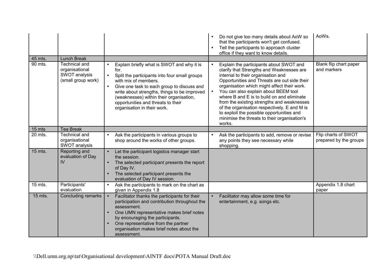| 45 mts. | <b>Lunch Break</b>                                                            |                                                                                                                                                                                                                                                                                                                                                                                  | Do not give too many details about AoW so<br>that the participants won't get confused.<br>Tell the participants to approach cluster<br>$\bullet$<br>office if they want to know details.                                                                                                                                                                                                                                                                                                                                                       | AoWs.                                         |
|---------|-------------------------------------------------------------------------------|----------------------------------------------------------------------------------------------------------------------------------------------------------------------------------------------------------------------------------------------------------------------------------------------------------------------------------------------------------------------------------|------------------------------------------------------------------------------------------------------------------------------------------------------------------------------------------------------------------------------------------------------------------------------------------------------------------------------------------------------------------------------------------------------------------------------------------------------------------------------------------------------------------------------------------------|-----------------------------------------------|
| 90 mts. | <b>Technical and</b><br>organisational<br>SWOT analysis<br>(small group work) | Explain briefly what is SWOT and why it is<br>$\bullet$<br>for.<br>Split the participants into four small groups<br>$\bullet$<br>with mix of members.<br>Give one task to each group to discuss and<br>$\bullet$<br>write about strengths, things to be improved<br>(weaknesses) within their organisation,<br>opportunities and threats to their<br>organisation in their work. | Explain the participants about SWOT and<br>$\bullet$<br>clarify that Strengths and Weaknesses are<br>internal to their organisation and<br>Opportunities and Threats are out side their<br>organisation which might affect their work.<br>You can also explain about BEEM tool<br>$\bullet$<br>where B and E is to build on and eliminate<br>from the existing strengths and weaknesses<br>of the organisation respectively. E and M is<br>to exploit the possible opportunities and<br>minimise the threats to their organisation's<br>works. | Blank flip chart paper<br>and markers         |
| 15 mts  | <b>Tea Break</b>                                                              |                                                                                                                                                                                                                                                                                                                                                                                  |                                                                                                                                                                                                                                                                                                                                                                                                                                                                                                                                                |                                               |
| 20 mts. | Technical and<br>organisational<br>SWOT analysis                              | Ask the participants in various groups to<br>$\bullet$<br>shop around the works of other groups.                                                                                                                                                                                                                                                                                 | Ask the participants to add, remove or revise<br>$\bullet$<br>any points they see necessary while<br>shopping.                                                                                                                                                                                                                                                                                                                                                                                                                                 | Flip charts of SWOT<br>prepared by the groups |
| 15 mts. | Reporting and<br>evaluation of Day<br>IV                                      | Let the participant logistics manager start<br>the session.<br>The selected participant presents the report<br>$\bullet$<br>of Day IV.<br>The selected participant presents the<br>$\bullet$<br>evaluation of Day IV session.                                                                                                                                                    |                                                                                                                                                                                                                                                                                                                                                                                                                                                                                                                                                |                                               |
| 15 mts. | Participants'<br>evaluation                                                   | Ask the participants to mark on the chart as<br>$\bullet$<br>given in Appendix 1.8                                                                                                                                                                                                                                                                                               |                                                                                                                                                                                                                                                                                                                                                                                                                                                                                                                                                | Appendix 1.8 chart<br>paper                   |
| 15 mts. | Concluding remarks                                                            | Facilitator thanks the participants for their<br>$\bullet$<br>participation and contribution throughout the<br>assessment.<br>One UMN representative makes brief notes<br>$\bullet$<br>by encouraging the participants.<br>One representative from the partner<br>$\bullet$<br>organisation makes brief notes about the<br>assessment.                                           | Facilitator may allow some time for<br>$\bullet$<br>entertainment, e.g. songs etc.                                                                                                                                                                                                                                                                                                                                                                                                                                                             |                                               |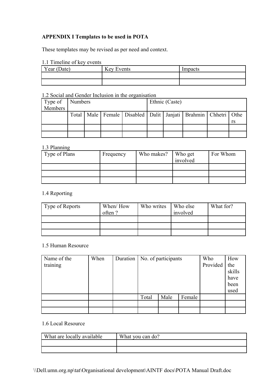## **APPENDIX I Templates to be used in POTA**

These templates may be revised as per need and context.

|  | 1.1 Timeline of key events |  |  |
|--|----------------------------|--|--|
|--|----------------------------|--|--|

| Year (Date) | Key Events | Impacts |
|-------------|------------|---------|
|             |            |         |
|             |            |         |

## 1.2 Social and Gender Inclusion in the organisation

| Type of | Numbers |  |  | Ethnic (Caste)                                                                |  |  |  |  |    |
|---------|---------|--|--|-------------------------------------------------------------------------------|--|--|--|--|----|
| Members |         |  |  |                                                                               |  |  |  |  |    |
|         |         |  |  | Total   Male   Female   Disabled   Dalit   Janjati   Brahmin   Chhetri   Othe |  |  |  |  |    |
|         |         |  |  |                                                                               |  |  |  |  | rs |
|         |         |  |  |                                                                               |  |  |  |  |    |
|         |         |  |  |                                                                               |  |  |  |  |    |

## 1.3 Planning

| Type of Plans | Frequency | Who makes? | Who get<br>involved | For Whom |
|---------------|-----------|------------|---------------------|----------|
|               |           |            |                     |          |
|               |           |            |                     |          |
|               |           |            |                     |          |

## 1.4 Reporting

| Type of Reports | When/How<br>often? | Who writes | Who else<br>involved | What for? |
|-----------------|--------------------|------------|----------------------|-----------|
|                 |                    |            |                      |           |
|                 |                    |            |                      |           |
|                 |                    |            |                      |           |

## 1.5 Human Resource

| Name of the | When | Duration   No. of participants |      |        | Who      | How    |
|-------------|------|--------------------------------|------|--------|----------|--------|
| training    |      |                                |      |        | Provided | the    |
|             |      |                                |      |        |          | skills |
|             |      |                                |      |        |          | have   |
|             |      |                                |      |        |          | been   |
|             |      |                                |      |        |          | used   |
|             |      | Total                          | Male | Female |          |        |
|             |      |                                |      |        |          |        |
|             |      |                                |      |        |          |        |

## 1.6 Local Resource

| What are locally available | What you can do? |
|----------------------------|------------------|
|                            |                  |
|                            |                  |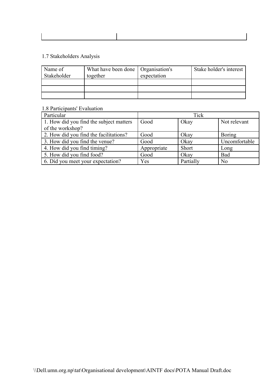|  |  | 1.7 Stakeholders Analysis |  |  |
|--|--|---------------------------|--|--|
|--|--|---------------------------|--|--|

| Name of<br>Stakeholder | What have been done   Organisation's<br>together | expectation | Stake holder's interest |
|------------------------|--------------------------------------------------|-------------|-------------------------|
|                        |                                                  |             |                         |
|                        |                                                  |             |                         |
|                        |                                                  |             |                         |

## 1.8 Participants' Evaluation

| Particular                              |             | Tick      |                |
|-----------------------------------------|-------------|-----------|----------------|
| 1. How did you find the subject matters | Good        | Okay      | Not relevant   |
| of the workshop?                        |             |           |                |
| 2. How did you find the facilitations?  | Good        | Okay      | <b>Boring</b>  |
| 3. How did you find the venue?          | Good        | Okay      | Uncomfortable  |
| 4. How did you find timing?             | Appropriate | Short     | Long           |
| 5. How did you find food?               | Good        | Okay      | Bad            |
| 6. Did you meet your expectation?       | Yes         | Partially | N <sub>0</sub> |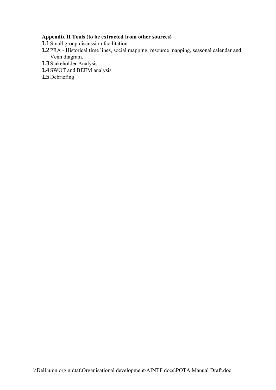## **Appendix II Tools (to be extracted from other sources)**

- 1.1 Small group discussion facilitation
- 1.2 PRA Historical time lines, social mapping, resource mapping, seasonal calendar and Venn diagram.
- 1.3 Stakeholder Analysis
- 1.4 SWOT and BEEM analysis
- 1.5 Debriefing